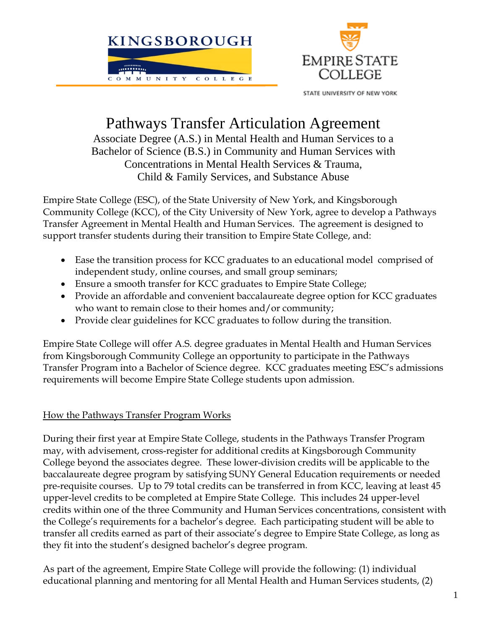



STATE UNIVERSITY OF NEW YORK

# Pathways Transfer Articulation Agreement

Associate Degree (A.S.) in Mental Health and Human Services to a Bachelor of Science (B.S.) in Community and Human Services with Concentrations in Mental Health Services & Trauma, Child & Family Services, and Substance Abuse

Empire State College (ESC), of the State University of New York, and Kingsborough Community College (KCC), of the City University of New York, agree to develop a Pathways Transfer Agreement in Mental Health and Human Services. The agreement is designed to support transfer students during their transition to Empire State College, and:

- Ease the transition process for KCC graduates to an educational model comprised of independent study, online courses, and small group seminars;
- Ensure a smooth transfer for KCC graduates to Empire State College;
- Provide an affordable and convenient baccalaureate degree option for KCC graduates who want to remain close to their homes and/or community;
- Provide clear guidelines for KCC graduates to follow during the transition.

Empire State College will offer A.S. degree graduates in Mental Health and Human Services from Kingsborough Community College an opportunity to participate in the Pathways Transfer Program into a Bachelor of Science degree. KCC graduates meeting ESC's admissions requirements will become Empire State College students upon admission.

### How the Pathways Transfer Program Works

During their first year at Empire State College, students in the Pathways Transfer Program may, with advisement, cross-register for additional credits at Kingsborough Community College beyond the associates degree. These lower-division credits will be applicable to the baccalaureate degree program by satisfying SUNY General Education requirements or needed pre-requisite courses. Up to 79 total credits can be transferred in from KCC, leaving at least 45 upper-level credits to be completed at Empire State College. This includes 24 upper-level credits within one of the three Community and Human Services concentrations, consistent with the College's requirements for a bachelor's degree. Each participating student will be able to transfer all credits earned as part of their associate's degree to Empire State College, as long as they fit into the student's designed bachelor's degree program.

As part of the agreement, Empire State College will provide the following: (1) individual educational planning and mentoring for all Mental Health and Human Services students, (2)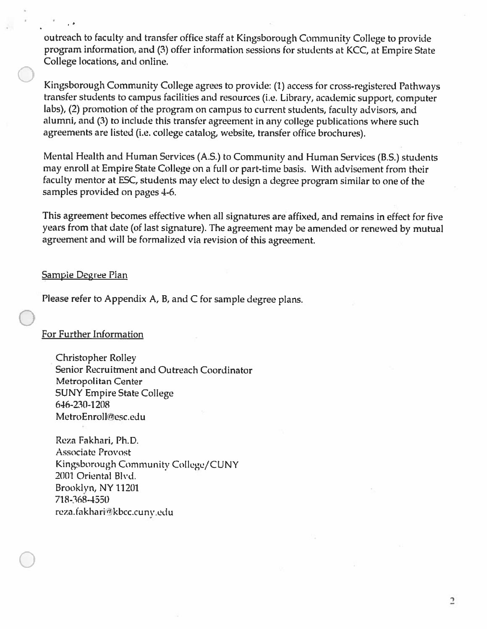outreach to faculty and transfer office staff at Kingsborough Community College to provide program information, and (3) offer information sessions for students at KCC, at Empire State College locations, and online.

Kingsborough Community College agrees to provide: (1) access for cross-registered Pathways transfer students to campus facilities and resources (i.e. Library, academic support, computer labs), (2) promotion of the program on campus to current students, faculty advisors, and alumni, and (3) to include this transfer agreement in any college publications where such agreements are listed (i.e. college catalog, website, transfer office brochures).

Mental Health and Human Services (A.S.) to Community and Human Services (B.S.) students may enroll at Empire State College on a full or part-time basis. With advisement from their faculty mentor at ESC, students may elect to design a degree program similar to one of the samples provided on pages 4-6.

This agreement becomes effective when all signatures are affixed, and remains in effect for five years from that date (of last signature). The agreement may be amended or renewed by mutual agreement and will be formalized via revision of this agreement.

#### **Sampie Degree Plan**

Please refer to Appendix A, B, and C for sample degree plans.

#### For Further Information

**Christopher Rolley** Senior Recruitment and Outreach Coordinator Metropolitan Center **SUNY Empire State College** 646-230-1208 MetroEnroll@esc.edu

Reza Fakhari, Ph.D. **Associate Provost** Kingsborough Community College/CUNY 2001 Oriental Blvd. Brooklyn, NY 11201 718-368-4550 reza.fakhari@kbcc.cuny.edu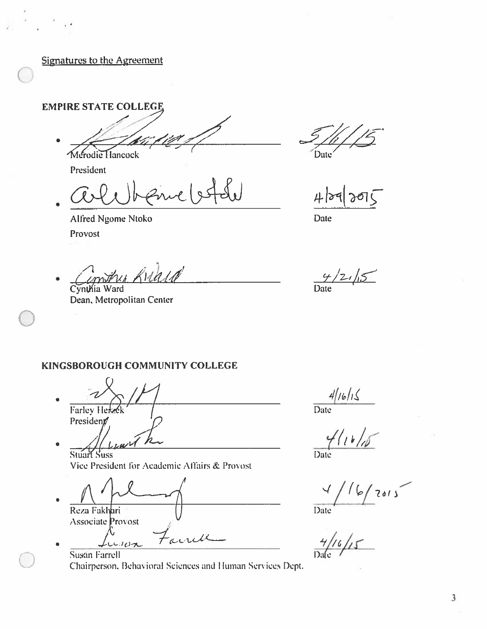**Signatures to the Agreement** 

**EMPIRE STATE COLLEGE** 

Merodie Hancock

President

Alfred Ngome Ntoko Provost

Contra Kilald

Cynthia Ward Dean, Metropolitan Center

Date

Date

 $4/2/5$ Date

#### KINGSBOROUGH COMMUNITY COLLEGE

**Farley Here** President  $1.40$ 

**Stuart Suss** Vice President for Academic Affairs & Provost

 $\bullet$ Reza Fakhari **Associate** Provost ande  $0.007$ 



 $\frac{4/16/15}{\text{Date}}$ 

 $41015$ Date

 $6/7015$  $\frac{1}{\frac{4}{16}}$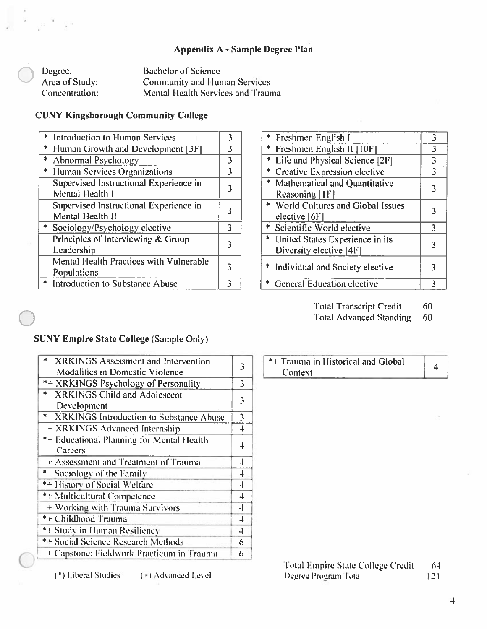#### Appendix A - Sample Degree Plan

| Degree:        | <b>Bachelor of Science</b>          |
|----------------|-------------------------------------|
| Area of Study: | <b>Community and Human Services</b> |
| Concentration: | Mental Health Services and Trauma   |

#### **CUNY Kingsborough Community College**

|    | * Introduction to Human Services                           |   |
|----|------------------------------------------------------------|---|
| ∗. | <b>Human Growth and Development [3F]</b>                   | 3 |
|    | * Abnormal Psychology                                      | 3 |
|    | * Human Services Organizations                             | 3 |
|    | Supervised Instructional Experience in<br>Mental Health I  |   |
|    | Supervised Instructional Experience in<br>Mental Health II |   |
|    | * Sociology/Psychology elective                            | 3 |
|    | Principles of Interviewing & Group<br>Leadership           |   |
|    | Mental Health Practices with Vulnerable<br>Populations     |   |
|    | * Introduction to Substance Abuse                          |   |

|   | * Freshmen English I                                         | 3 |
|---|--------------------------------------------------------------|---|
|   | * Freshmen English II [10F]                                  | 3 |
| * | Life and Physical Science [2F]                               | 3 |
|   | * Creative Expression elective                               | 3 |
|   | * Mathematical and Quantitative<br>Reasoning [1F]            | 3 |
|   | * World Cultures and Global Issues<br>elective [6F]          | 3 |
|   | * Scientific World elective                                  | 3 |
|   | * United States Experience in its<br>Diversity elective [4F] | 3 |
|   | * Individual and Society elective                            | 3 |
|   | * General Education elective                                 | 3 |
|   |                                                              |   |

**Total Transcript Credit** 60

Total Advanced Standing 60

#### **SUNY Empire State College (Sample Only)**

| 3                       |
|-------------------------|
|                         |
| 3                       |
| 3                       |
|                         |
| 3                       |
| $\overline{\mathbf{1}}$ |
|                         |
|                         |
| 4                       |
| 4                       |
| $\overline{+}$          |
| $\overline{+}$          |
|                         |
|                         |
|                         |
| 6                       |
| 6                       |
|                         |

(\*) Liberal Studies (+) Advanced Level \*+ Trauma in Historical and Global  $\overline{4}$ Context

> Total Empire State College Credit  $64$ Degree Program Total  $124$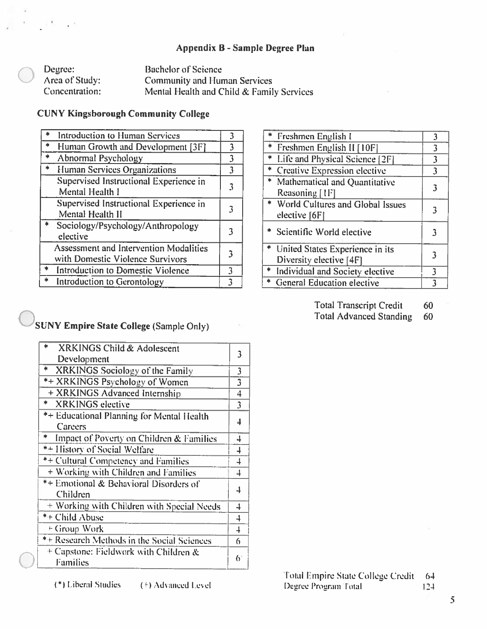#### Appendix B - Sample Degree Plan

| Degree:        | Bachelor of Science                       |
|----------------|-------------------------------------------|
| Area of Study: | <b>Community and Human Services</b>       |
| Concentration: | Mental Health and Child & Family Services |

#### **CUNY Kingsborough Community College**

|               | Introduction to Human Services                                                    |   |
|---------------|-----------------------------------------------------------------------------------|---|
|               | Human Growth and Development [3F]                                                 | 3 |
| $\frac{1}{2}$ | Abnormal Psychology                                                               | 3 |
| $\frac{1}{2}$ | Human Services Organizations                                                      | 3 |
|               | Supervised Instructional Experience in<br>Mental Health I                         |   |
|               | Supervised Instructional Experience in<br>Mental Health II                        |   |
|               | Sociology/Psychology/Anthropology<br>elective                                     |   |
|               | <b>Assessment and Intervention Modalities</b><br>with Domestic Violence Survivors |   |
|               | Introduction to Domestic Violence                                                 | ٦ |
|               | <b>Introduction to Gerontology</b>                                                |   |

| * Freshmen English I                                         | 3 |
|--------------------------------------------------------------|---|
| * Freshmen English II [10F]                                  | 3 |
| * Life and Physical Science [2F]                             | 3 |
| * Creative Expression elective                               | 3 |
| * Mathematical and Quantitative<br>Reasoning [1F]            |   |
| * World Cultures and Global Issues<br>elective [6F]          | 3 |
| * Scientific World elective                                  |   |
| * United States Experience in its<br>Diversity elective [4F] | 3 |
| * Individual and Society elective                            | ٦ |
| * General Education elective                                 |   |
|                                                              |   |

- **Total Transcript Credit** 60
- Total Advanced Standing 60

## SUNY Empire State College (Sample Only)

| $\ast$<br>XRKINGS Child & Adolescent<br>Development      | 3                        |
|----------------------------------------------------------|--------------------------|
| ∗<br>XRKINGS Sociology of the Family                     | 3                        |
| *+ XRKINGS Psychology of Women                           | $\overline{3}$           |
| + XRKINGS Advanced Internship                            | 4                        |
| *<br><b>XRKINGS</b> elective                             | $\overline{3}$           |
| *+ Educational Planning for Mental Health<br>Careers     | 4                        |
| *<br>Impact of Poverty on Children & Families            | 4                        |
| *+ History of Social Welfare                             | $\overline{\phantom{a}}$ |
| *+ Cultural Competency and Families                      | 4                        |
| + Working with Children and Families                     | 4                        |
| *+ Emotional & Behavioral Disorders of<br>Children       | 4                        |
| + Working with Children with Special Needs               | 4                        |
| *+ Child Abuse                                           | 4                        |
| <sup>E</sup> Group Work                                  | 4                        |
| *+ Research Methods in the Social Sciences               | 6                        |
| + Capstone: Fieldwork with Children &<br><b>Families</b> | 6                        |

Total Empire State College Credit  $64$ Degree Program Total  $124$ 

(\*) Liberal Studies

(†) Advanced Level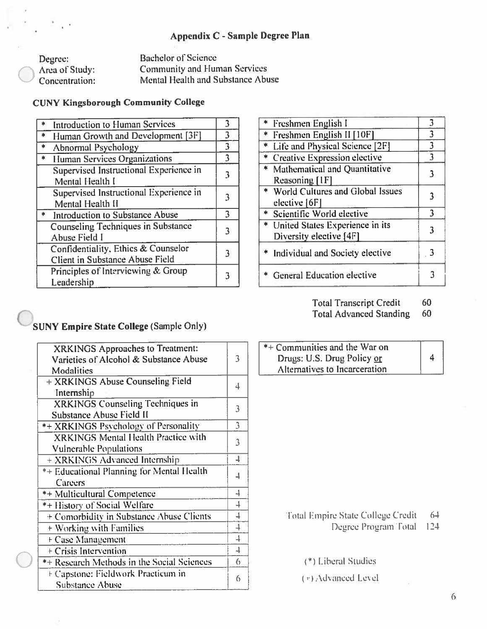#### Appendix C - Sample Degree Plan

**Bachelor of Science** Degree: **Community and Human Services** Area of Study: Mental Health and Substance Abuse Concentration:

#### **CUNY Kingsborough Community College**

| <b>Introduction to Human Services</b>                                  | 3 |
|------------------------------------------------------------------------|---|
| Human Growth and Development [3F]                                      | 3 |
| $\frac{1}{2}$<br><b>Abnormal Psychology</b>                            | 3 |
| $\ast$<br><b>Human Services Organizations</b>                          | 3 |
| Supervised Instructional Experience in<br>Mental Health I              |   |
| Supervised Instructional Experience in<br>Mental Health II             |   |
| <b>Introduction to Substance Abuse</b>                                 | 3 |
| <b>Counseling Techniques in Substance</b><br><b>Abuse Field I</b>      |   |
| Confidentiality, Ethics & Counselor<br>Client in Substance Abuse Field |   |
| Principles of Interviewing & Group<br>Leadership                       |   |

| * Freshmen English I               | 3 |
|------------------------------------|---|
| * Freshmen English II [10F]        | 3 |
| * Life and Physical Science [2F]   | 3 |
| * Creative Expression elective     | 3 |
| * Mathematical and Quantitative    | 3 |
| Reasoning [1F]                     |   |
| * World Cultures and Global Issues |   |
| elective [6F]                      |   |
| * Scientific World elective        | 3 |
| * United States Experience in its  | 3 |
| Diversity elective [4F]            |   |
| * Individual and Society elective  |   |
|                                    |   |
| <b>General Education elective</b>  |   |
|                                    |   |

Total Transcript Credit 60

**Total Advanced Standing** 60

### **SUNY Empire State College (Sample Only)**

| XRKINGS Approaches to Treatment:<br>Varieties of Alcohol & Substance Abuse<br>Modalities | 3                        |
|------------------------------------------------------------------------------------------|--------------------------|
| + XRKINGS Abuse Counseling Field<br>Internship                                           | 4                        |
| XRKINGS Counseling Techniques in<br>Substance Abuse Field II                             | 3                        |
| *+ XRKINGS Psychology of Personality                                                     | 3                        |
| <b>XRKINGS</b> Mental Health Practice with<br><b>Vulnerable Populations</b>              | 3                        |
| + XRKINGS Advanced Internship                                                            | 1                        |
| *+ Educational Planning for Mental Health<br>Careers                                     |                          |
| <b>*+ Multicultural Competence</b>                                                       | 4                        |
| *+ History of Social Welfare                                                             | 4                        |
| + Comorbidity in Substance Abuse Clients                                                 | 4                        |
| + Working with Families                                                                  | $\overline{\phantom{a}}$ |
| + Case Management                                                                        | $\overline{+}$           |
| + Crisis Intervention                                                                    |                          |
| *+ Research Methods in the Social Sciences                                               | 6                        |
| E Capstone: Fieldwork Practicum in<br><b>Substance Abuse</b>                             | 6                        |
|                                                                                          |                          |

| $*$ Communities and the War on |   |
|--------------------------------|---|
| Drugs: U.S. Drug Policy or     | 4 |
| Alternatives to Incarceration  |   |

#### Total Empire State College Credit  $64$

Degree Program Total 124

(\*) Liberal Studies

(e) Advanced Level